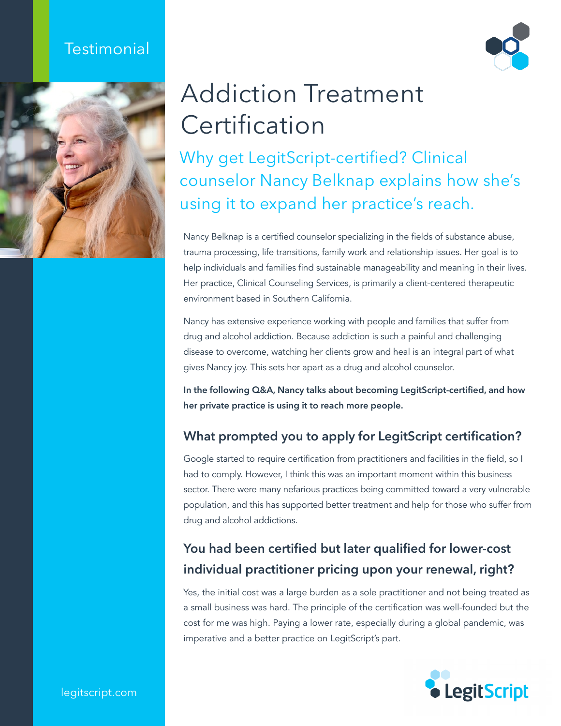#### **Testimonial**





# Addiction Treatment **Certification**

Why get LegitScript-certified? Clinical counselor Nancy Belknap explains how she's using it to expand her practice's reach.

Nancy Belknap is a certified counselor specializing in the fields of substance abuse, trauma processing, life transitions, family work and relationship issues. Her goal is to help individuals and families find sustainable manageability and meaning in their lives. Her practice, [Clinical Counseling Services,](https://www.nancybelknap.com) is primarily a client-centered therapeutic environment based in Southern California.

Nancy has extensive experience working with people and families that suffer from drug and alcohol addiction. Because addiction is such a painful and challenging disease to overcome, watching her clients grow and heal is an integral part of what gives Nancy joy. This sets her apart as a drug and alcohol counselor.

**In the following Q&A, Nancy talks about becoming LegitScript-certified, and how her private practice is using it to reach more people.**

#### **What prompted you to apply for LegitScript certification?**

Google started to require certification from practitioners and facilities in the field, so I had to comply. However, I think this was an important moment within this business sector. There were many nefarious practices being committed toward a very vulnerable population, and this has supported better treatment and help for those who suffer from drug and alcohol addictions.

#### **You had been certified but later qualified for lower-cost individual practitioner pricing upon your renewal, right?**

Yes, the initial cost was a large burden as a sole practitioner and not being treated as a small business was hard. The principle of the certification was well-founded but the cost for me was high. Paying a lower rate, especially during a global pandemic, was imperative and a better practice on LegitScript's part.



legitscript.com